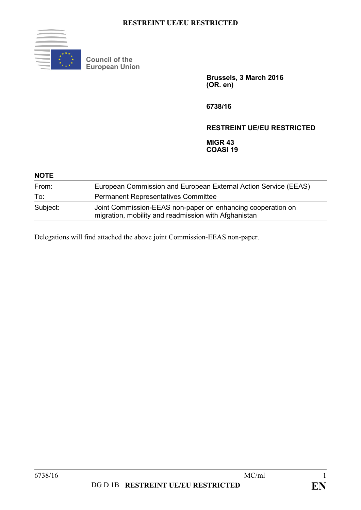

**Council of the European Union**

> **Brussels, 3 March 2016 (OR. en)**

**6738/16**

## **RESTREINT UE/EU RESTRICTED**

**MIGR 43 COASI 19**

| <b>NOTE</b> |                                                                                                                     |
|-------------|---------------------------------------------------------------------------------------------------------------------|
| From:       | European Commission and European External Action Service (EEAS)                                                     |
| To:         | <b>Permanent Representatives Committee</b>                                                                          |
| Subject:    | Joint Commission-EEAS non-paper on enhancing cooperation on<br>migration, mobility and readmission with Afghanistan |

Delegations will find attached the above joint Commission-EEAS non-paper.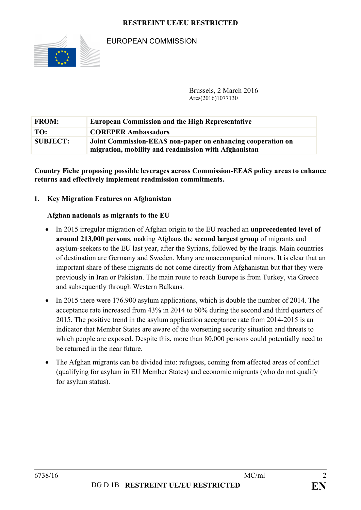

# EUROPEAN COMMISSION

Brussels, 2 March 2016 Ares(2016)1077130

| <b>FROM:</b>    | <b>European Commission and the High Representative</b>                                                              |
|-----------------|---------------------------------------------------------------------------------------------------------------------|
| TO:             | <b>COREPER Ambassadors</b>                                                                                          |
| <b>SUBJECT:</b> | Joint Commission-EEAS non-paper on enhancing cooperation on<br>migration, mobility and readmission with Afghanistan |

**Country Fiche proposing possible leverages across Commission-EEAS policy areas to enhance returns and effectively implement readmission commitments.**

### **1. Key Migration Features on Afghanistan**

#### **Afghan nationals as migrants to the EU**

- In 2015 irregular migration of Afghan origin to the EU reached an **unprecedented level of around 213,000 persons**, making Afghans the **second largest group** of migrants and asylum-seekers to the EU last year, after the Syrians, followed by the Iraqis. Main countries of destination are Germany and Sweden. Many are unaccompanied minors. It is clear that an important share of these migrants do not come directly from Afghanistan but that they were previously in Iran or Pakistan. The main route to reach Europe is from Turkey, via Greece and subsequently through Western Balkans.
- In 2015 there were 176.900 asylum applications, which is double the number of 2014. The acceptance rate increased from 43% in 2014 to 60% during the second and third quarters of 2015. The positive trend in the asylum application acceptance rate from 2014-2015 is an indicator that Member States are aware of the worsening security situation and threats to which people are exposed. Despite this, more than 80,000 persons could potentially need to be returned in the near future.
- The Afghan migrants can be divided into: refugees, coming from affected areas of conflict (qualifying for asylum in EU Member States) and economic migrants (who do not qualify for asylum status).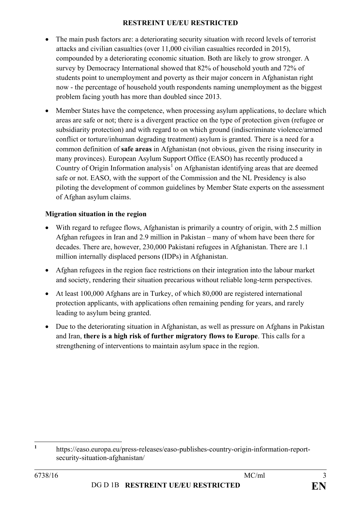- The main push factors are: a deteriorating security situation with record levels of terrorist attacks and civilian casualties (over 11,000 civilian casualties recorded in 2015), compounded by a deteriorating economic situation. Both are likely to grow stronger. A survey by Democracy International showed that 82% of household youth and 72% of students point to unemployment and poverty as their major concern in Afghanistan right now - the percentage of household youth respondents naming unemployment as the biggest problem facing youth has more than doubled since 2013.
- Member States have the competence, when processing asylum applications, to declare which areas are safe or not; there is a divergent practice on the type of protection given (refugee or subsidiarity protection) and with regard to on which ground (indiscriminate violence/armed conflict or torture/inhuman degrading treatment) asylum is granted. There is a need for a common definition of **safe areas** in Afghanistan (not obvious, given the rising insecurity in many provinces). European Asylum Support Office (EASO) has recently produced a Country of Origin Information analysis<sup>[1](#page-2-0)</sup> on Afghanistan identifying areas that are deemed safe or not. EASO, with the support of the Commission and the NL Presidency is also piloting the development of common guidelines by Member State experts on the assessment of Afghan asylum claims.

## **Migration situation in the region**

- With regard to refugee flows, Afghanistan is primarily a country of origin, with 2.5 million Afghan refugees in Iran and 2.9 million in Pakistan – many of whom have been there for decades. There are, however, 230,000 Pakistani refugees in Afghanistan. There are 1.1 million internally displaced persons (IDPs) in Afghanistan.
- Afghan refugees in the region face restrictions on their integration into the labour market and society, rendering their situation precarious without reliable long-term perspectives.
- At least 100,000 Afghans are in Turkey, of which 80,000 are registered international protection applicants, with applications often remaining pending for years, and rarely leading to asylum being granted.
- Due to the deteriorating situation in Afghanistan, as well as pressure on Afghans in Pakistan and Iran, **there is a high risk of further migratory flows to Europe**. This calls for a strengthening of interventions to maintain asylum space in the region.

<span id="page-2-0"></span>**<sup>1</sup>** https://easo.europa.eu/press-releases/easo-publishes-country-origin-information-reportsecurity-situation-afghanistan/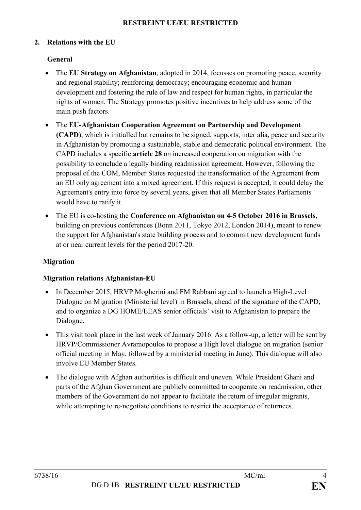### **2. Relations with the EU**

## **General**

- The **EU Strategy on Afghanistan**, adopted in 2014, focusses on promoting peace, security and regional stability; reinforcing democracy; encouraging economic and human development and fostering the rule of law and respect for human rights, in particular the rights of women. The Strategy promotes positive incentives to help address some of the main push factors.
- The **EU-Afghanistan Cooperation Agreement on Partnership and Development (CAPD)**, which is initialled but remains to be signed, supports, inter alia, peace and security in Afghanistan by promoting a sustainable, stable and democratic political environment. The CAPD includes a specific **article 28** on increased cooperation on migration with the possibility to conclude a legally binding readmission agreement. However, following the proposal of the COM, Member States requested the transformation of the Agreement from an EU only agreement into a mixed agreement. If this request is accepted, it could delay the Agreement's entry into force by several years, given that all Member States Parliaments would have to ratify it.
- The EU is co-hosting the **Conference on Afghanistan on 4-5 October 2016 in Brussels**, building on previous conferences (Bonn 2011, Tokyo 2012, London 2014), meant to renew the support for Afghanistan's state building process and to commit new development funds at or near current levels for the period 2017-20.

### **Migration**

### **Migration relations Afghanistan-EU**

- In December 2015, HRVP Mogherini and FM Rabbani agreed to launch a High-Level Dialogue on Migration (Ministerial level) in Brussels, ahead of the signature of the CAPD, and to organize a DG HOME/EEAS senior officials' visit to Afghanistan to prepare the Dialogue.
- This visit took place in the last week of January 2016. As a follow-up, a letter will be sent by HRVP/Commissioner Avramopoulos to propose a High level dialogue on migration (senior official meeting in May, followed by a ministerial meeting in June). This dialogue will also involve EU Member States.
- The dialogue with Afghan authorities is difficult and uneven. While President Ghani and parts of the Afghan Government are publicly committed to cooperate on readmission, other members of the Government do not appear to facilitate the return of irregular migrants, while attempting to re-negotiate conditions to restrict the acceptance of returnees.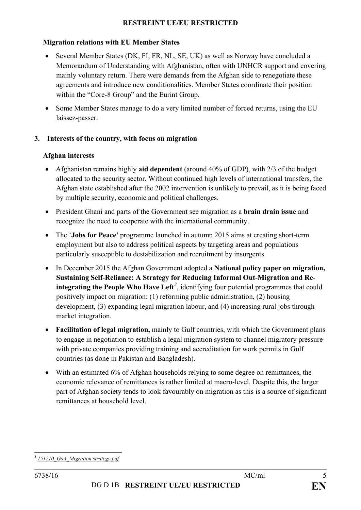### **Migration relations with EU Member States**

- Several Member States (DK, FI, FR, NL, SE, UK) as well as Norway have concluded a Memorandum of Understanding with Afghanistan, often with UNHCR support and covering mainly voluntary return. There were demands from the Afghan side to renegotiate these agreements and introduce new conditionalities. Member States coordinate their position within the "Core-8 Group" and the Eurint Group.
- Some Member States manage to do a very limited number of forced returns, using the EU laissez-passer.

### **3. Interests of the country, with focus on migration**

#### **Afghan interests**

- Afghanistan remains highly **aid dependent** (around 40% of GDP), with 2/3 of the budget allocated to the security sector. Without continued high levels of international transfers, the Afghan state established after the 2002 intervention is unlikely to prevail, as it is being faced by multiple security, economic and political challenges.
- President Ghani and parts of the Government see migration as a **brain drain issue** and recognize the need to cooperate with the international community.
- The '**Jobs for Peace'** programme launched in autumn 2015 aims at creating short-term employment but also to address political aspects by targeting areas and populations particularly susceptible to destabilization and recruitment by insurgents.
- In December 2015 the Afghan Government adopted a **National policy paper on migration, Sustaining Self-Reliance: A Strategy for Reducing Informal Out-Migration and Reintegrating the People Who Have Left***[2](#page-4-0)* , identifying four potential programmes that could positively impact on migration: (1) reforming public administration, (2) housing development, (3) expanding legal migration labour, and (4) increasing rural jobs through market integration.
- **Facilitation of legal migration,** mainly to Gulf countries, with which the Government plans to engage in negotiation to establish a legal migration system to channel migratory pressure with private companies providing training and accreditation for work permits in Gulf countries (as done in Pakistan and Bangladesh).
- With an estimated 6% of Afghan households relying to some degree on remittances, the economic relevance of remittances is rather limited at macro-level. Despite this, the larger part of Afghan society tends to look favourably on migration as this is a source of significant remittances at household level.

<span id="page-4-0"></span>**<sup>2</sup>** *151210\_GoA\_Migration strategy.pdf*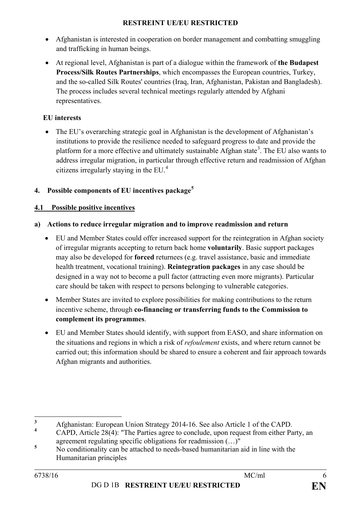- Afghanistan is interested in cooperation on border management and combatting smuggling and trafficking in human beings.
- At regional level, Afghanistan is part of a dialogue within the framework of **the Budapest Process/Silk Routes Partnerships**, which encompasses the European countries, Turkey, and the so-called Silk Routes' countries (Iraq, Iran, Afghanistan, Pakistan and Bangladesh). The process includes several technical meetings regularly attended by Afghani representatives.

# **EU interests**

• The EU's overarching strategic goal in Afghanistan is the development of Afghanistan's institutions to provide the resilience needed to safeguard progress to date and provide the platform for a more effective and ultimately sustainable Afghan state<sup>[3](#page-5-0)</sup>. The EU also wants to address irregular migration, in particular through effective return and readmission of Afghan citizens irregularly staying in the EU.[4](#page-5-1)

# **4. Possible components of EU incentives package[5](#page-5-2)**

# **4.1 Possible positive incentives**

# **a) Actions to reduce irregular migration and to improve readmission and return**

- EU and Member States could offer increased support for the reintegration in Afghan society of irregular migrants accepting to return back home **voluntarily**. Basic support packages may also be developed for **forced** returnees (e.g. travel assistance, basic and immediate health treatment, vocational training). **Reintegration packages** in any case should be designed in a way not to become a pull factor (attracting even more migrants). Particular care should be taken with respect to persons belonging to vulnerable categories.
- Member States are invited to explore possibilities for making contributions to the return incentive scheme, through **co-financing or transferring funds to the Commission to complement its programmes**.
- EU and Member States should identify, with support from EASO, and share information on the situations and regions in which a risk of *refoulement* exists, and where return cannot be carried out; this information should be shared to ensure a coherent and fair approach towards Afghan migrants and authorities.

<span id="page-5-0"></span>**<sup>3</sup>** Afghanistan: European Union Strategy 2014-16. See also Article 1 of the CAPD.

<span id="page-5-1"></span>**<sup>4</sup>** CAPD, Article 28(4): "The Parties agree to conclude, upon request from either Party, an agreement regulating specific obligations for readmission (…)"

<span id="page-5-2"></span><sup>&</sup>lt;sup>5</sup> No conditionality can be attached to needs-based humanitarian aid in line with the Humanitarian principles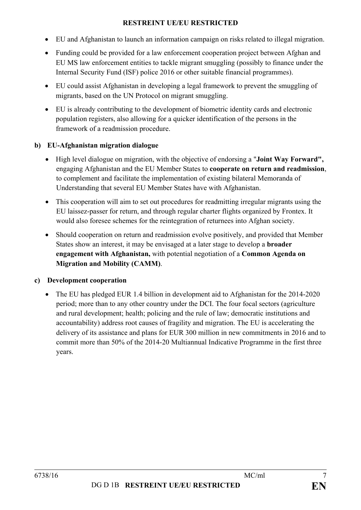- EU and Afghanistan to launch an information campaign on risks related to illegal migration.
- Funding could be provided for a law enforcement cooperation project between Afghan and EU MS law enforcement entities to tackle migrant smuggling (possibly to finance under the Internal Security Fund (ISF) police 2016 or other suitable financial programmes).
- EU could assist Afghanistan in developing a legal framework to prevent the smuggling of migrants, based on the UN Protocol on migrant smuggling.
- EU is already contributing to the development of biometric identity cards and electronic population registers, also allowing for a quicker identification of the persons in the framework of a readmission procedure.

## **b) EU-Afghanistan migration dialogue**

- High level dialogue on migration, with the objective of endorsing a "**Joint Way Forward",** engaging Afghanistan and the EU Member States to **cooperate on return and readmission**, to complement and facilitate the implementation of existing bilateral Memoranda of Understanding that several EU Member States have with Afghanistan.
- This cooperation will aim to set out procedures for readmitting irregular migrants using the EU laissez-passer for return, and through regular charter flights organized by Frontex. It would also foresee schemes for the reintegration of returnees into Afghan society.
- Should cooperation on return and readmission evolve positively, and provided that Member States show an interest, it may be envisaged at a later stage to develop a **broader engagement with Afghanistan,** with potential negotiation of a **Common Agenda on Migration and Mobility (CAMM)**.

# **c) Development cooperation**

• The EU has pledged EUR 1.4 billion in development aid to Afghanistan for the 2014-2020 period; more than to any other country under the DCI. The four focal sectors (agriculture and rural development; health; policing and the rule of law; democratic institutions and accountability) address root causes of fragility and migration. The EU is accelerating the delivery of its assistance and plans for EUR 300 million in new commitments in 2016 and to commit more than 50% of the 2014-20 Multiannual Indicative Programme in the first three years.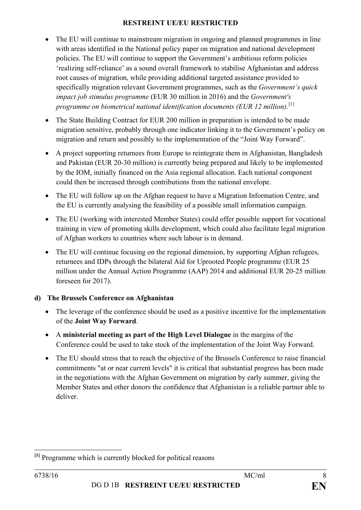- The EU will continue to mainstream migration in ongoing and planned programmes in line with areas identified in the National policy paper on migration and national development policies. The EU will continue to support the Government's ambitious reform policies 'realizing self-reliance' as a sound overall framework to stabilise Afghanistan and address root causes of migration, while providing additional targeted assistance provided to specifically migration relevant Government programmes, such as the *Government's quick impact job stimulus programme* (EUR 30 million in 2016) and the *Government's programme on biometrical national identification documents (EUR 12 million)*. [\[1\]](#page-7-0)
- The State Building Contract for EUR 200 million in preparation is intended to be made migration sensitive, probably through one indicator linking it to the Government's policy on migration and return and possibly to the implementation of the "Joint Way Forward".
- A project supporting returnees from Europe to reintegrate them in Afghanistan, Bangladesh and Pakistan (EUR 20-30 million) is currently being prepared and likely to be implemented by the IOM, initially financed on the Asia regional allocation. Each national component could then be increased through contributions from the national envelope.
- The EU will follow up on the Afghan request to have a Migration Information Centre, and the EU is currently analysing the feasibility of a possible small information campaign.
- The EU (working with interested Member States) could offer possible support for vocational training in view of promoting skills development, which could also facilitate legal migration of Afghan workers to countries where such labour is in demand.
- The EU will continue focusing on the regional dimension, by supporting Afghan refugees, returnees and IDPs through the bilateral Aid for Uprooted People programme (EUR 25 million under the Annual Action Programme (AAP) 2014 and additional EUR 20-25 million foreseen for 2017).

# **d) The Brussels Conference on Afghanistan**

- The leverage of the conference should be used as a positive incentive for the implementation of the **Joint Way Forward**.
- A **ministerial meeting as part of the High Level Dialogue** in the margins of the Conference could be used to take stock of the implementation of the Joint Way Forward.
- The EU should stress that to reach the objective of the Brussels Conference to raise financial commitments "at or near current levels" it is critical that substantial progress has been made in the negotiations with the Afghan Government on migration by early summer, giving the Member States and other donors the confidence that Afghanistan is a reliable partner able to deliver.

<span id="page-7-0"></span>**[1]** Programme which is currently blocked for political reasons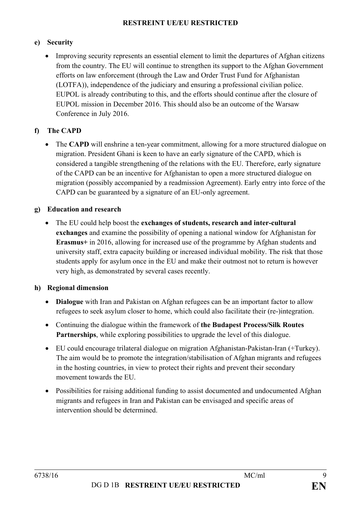### **e) Security**

• Improving security represents an essential element to limit the departures of Afghan citizens from the country. The EU will continue to strengthen its support to the Afghan Government efforts on law enforcement (through the Law and Order Trust Fund for Afghanistan (LOTFA)), independence of the judiciary and ensuring a professional civilian police. EUPOL is already contributing to this, and the efforts should continue after the closure of EUPOL mission in December 2016. This should also be an outcome of the Warsaw Conference in July 2016.

### **f) The CAPD**

• The **CAPD** will enshrine a ten-year commitment, allowing for a more structured dialogue on migration. President Ghani is keen to have an early signature of the CAPD, which is considered a tangible strengthening of the relations with the EU. Therefore, early signature of the CAPD can be an incentive for Afghanistan to open a more structured dialogue on migration (possibly accompanied by a readmission Agreement). Early entry into force of the CAPD can be guaranteed by a signature of an EU-only agreement.

### **g) Education and research**

• The EU could help boost the **exchanges of students, research and inter-cultural exchanges** and examine the possibility of opening a national window for Afghanistan for **Erasmus+** in 2016, allowing for increased use of the programme by Afghan students and university staff, extra capacity building or increased individual mobility. The risk that those students apply for asylum once in the EU and make their outmost not to return is however very high, as demonstrated by several cases recently.

### **h) Regional dimension**

- **Dialogue** with Iran and Pakistan on Afghan refugees can be an important factor to allow refugees to seek asylum closer to home, which could also facilitate their (re-)integration.
- Continuing the dialogue within the framework of **the Budapest Process/Silk Routes Partnerships**, while exploring possibilities to upgrade the level of this dialogue.
- EU could encourage trilateral dialogue on migration Afghanistan-Pakistan-Iran (+Turkey). The aim would be to promote the integration/stabilisation of Afghan migrants and refugees in the hosting countries, in view to protect their rights and prevent their secondary movement towards the EU.
- Possibilities for raising additional funding to assist documented and undocumented Afghan migrants and refugees in Iran and Pakistan can be envisaged and specific areas of intervention should be determined.